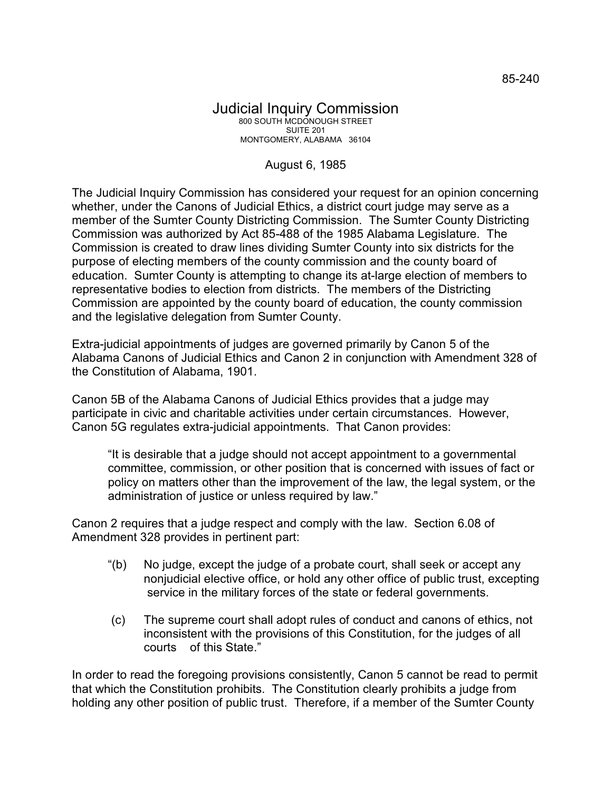## Judicial Inquiry Commission 800 SOUTH MCDONOUGH STREET SUITE 201 MONTGOMERY, ALABAMA 36104

## August 6, 1985

The Judicial Inquiry Commission has considered your request for an opinion concerning whether, under the Canons of Judicial Ethics, a district court judge may serve as a member of the Sumter County Districting Commission. The Sumter County Districting Commission was authorized by Act 85-488 of the 1985 Alabama Legislature. The Commission is created to draw lines dividing Sumter County into six districts for the purpose of electing members of the county commission and the county board of education. Sumter County is attempting to change its at-large election of members to representative bodies to election from districts. The members of the Districting Commission are appointed by the county board of education, the county commission and the legislative delegation from Sumter County.

Extra-judicial appointments of judges are governed primarily by Canon 5 of the Alabama Canons of Judicial Ethics and Canon 2 in conjunction with Amendment 328 of the Constitution of Alabama, 1901.

Canon 5B of the Alabama Canons of Judicial Ethics provides that a judge may participate in civic and charitable activities under certain circumstances. However, Canon 5G regulates extra-judicial appointments. That Canon provides:

"It is desirable that a judge should not accept appointment to a governmental committee, commission, or other position that is concerned with issues of fact or policy on matters other than the improvement of the law, the legal system, or the administration of justice or unless required by law."

Canon 2 requires that a judge respect and comply with the law. Section 6.08 of Amendment 328 provides in pertinent part:

- "(b) No judge, except the judge of a probate court, shall seek or accept any nonjudicial elective office, or hold any other office of public trust, excepting service in the military forces of the state or federal governments.
- (c) The supreme court shall adopt rules of conduct and canons of ethics, not inconsistent with the provisions of this Constitution, for the judges of all courts of this State."

In order to read the foregoing provisions consistently, Canon 5 cannot be read to permit that which the Constitution prohibits. The Constitution clearly prohibits a judge from holding any other position of public trust. Therefore, if a member of the Sumter County